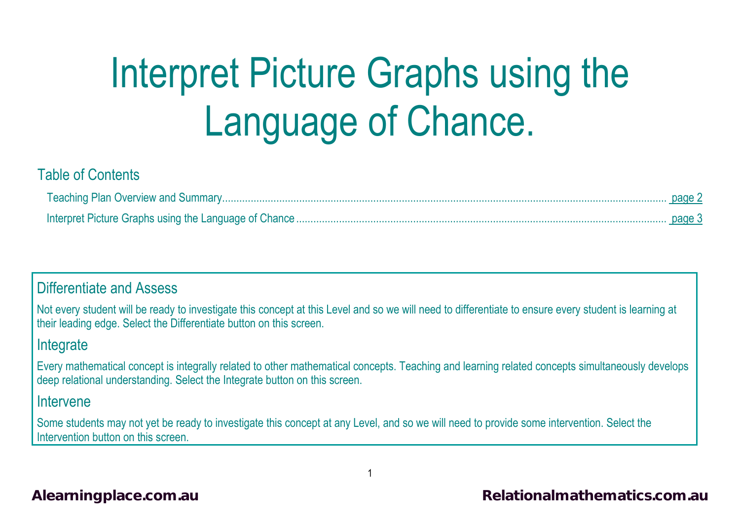# Interpret Picture Graphs using the Language of Chance.

#### Table of Contents

#### Differentiate and Assess

Not every student will be ready to investigate this concept at this Level and so we will need to differentiate to ensure every student is learning at their leading edge. Select the Differentiate button on this screen.

#### **Integrate**

Every mathematical concept is integrally related to other mathematical concepts. Teaching and learning related concepts simultaneously develops deep relational understanding. Select the Integrate button on this screen.

#### Intervene

Some students may not yet be ready to investigate this concept at any Level, and so we will need to provide some intervention. Select the Intervention button on this screen.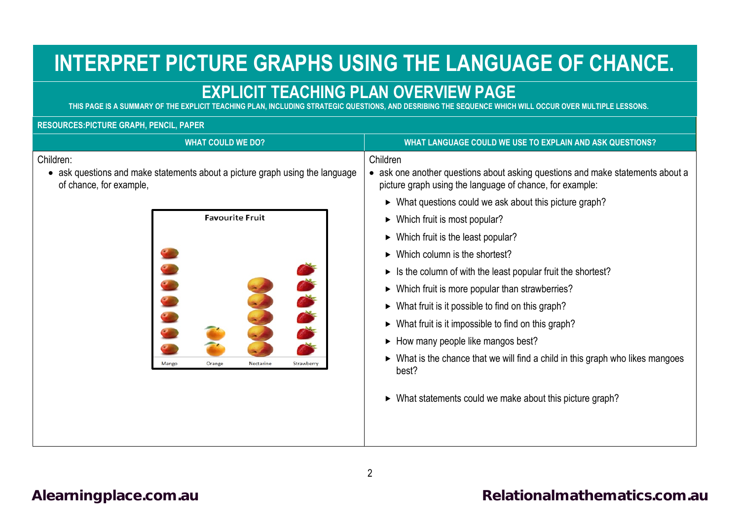## **INTERPRET PICTURE GRAPHS USING THE LANGUAGE OF CHANCE.**

### **EXPLICIT TEACHING PLAN OVERVIEW PAGE**

<span id="page-1-0"></span>**THIS PAGE IS A SUMMARY OF THE EXPLICIT TEACHING PLAN, INCLUDING STRATEGIC QUESTIONS, AND DESRIBING THE SEQUENCE WHICH WILL OCCUR OVER MULTIPLE LESSONS.**

#### **RESOURCES:PICTURE GRAPH, PENCIL, PAPER**

| <b>WHAT COULD WE DO?</b>                                                                                                                                                                            | WHAT LANGUAGE COULD WE USE TO EXPLAIN AND ASK QUESTIONS?                                                                                                                                                                                                                                                                                                                                                                                                                                                                                                                                                                                                                                                                                                                                                                                                  |
|-----------------------------------------------------------------------------------------------------------------------------------------------------------------------------------------------------|-----------------------------------------------------------------------------------------------------------------------------------------------------------------------------------------------------------------------------------------------------------------------------------------------------------------------------------------------------------------------------------------------------------------------------------------------------------------------------------------------------------------------------------------------------------------------------------------------------------------------------------------------------------------------------------------------------------------------------------------------------------------------------------------------------------------------------------------------------------|
| Children:<br>• ask questions and make statements about a picture graph using the language<br>of chance, for example,<br><b>Favourite Fruit</b><br>Strawberry<br><b>Mango</b><br>Orange<br>Nectarine | Children<br>• ask one another questions about asking questions and make statements about a<br>picture graph using the language of chance, for example:<br>$\triangleright$ What questions could we ask about this picture graph?<br>$\triangleright$ Which fruit is most popular?<br>$\triangleright$ Which fruit is the least popular?<br>$\triangleright$ Which column is the shortest?<br>$\triangleright$ Is the column of with the least popular fruit the shortest?<br>▶ Which fruit is more popular than strawberries?<br>$\triangleright$ What fruit is it possible to find on this graph?<br>• What fruit is it impossible to find on this graph?<br>• How many people like mangos best?<br>► What is the chance that we will find a child in this graph who likes mangoes<br>best?<br>• What statements could we make about this picture graph? |
|                                                                                                                                                                                                     |                                                                                                                                                                                                                                                                                                                                                                                                                                                                                                                                                                                                                                                                                                                                                                                                                                                           |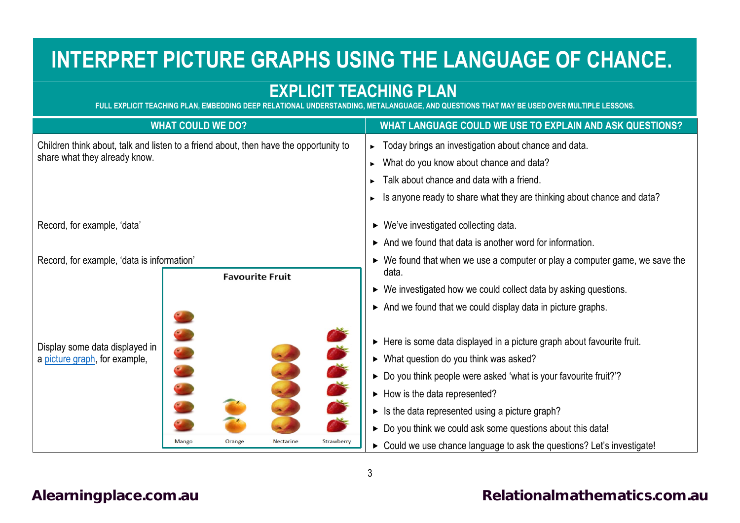## **INTERPRET PICTURE GRAPHS USING THE LANGUAGE OF CHANCE.**

## **EXPLICIT TEACHING PLAN**

**FULL EXPLICIT TEACHING PLAN, EMBEDDING DEEP RELATIONAL UNDERSTANDING, METALANGUAGE, AND QUESTIONS THAT MAY BE USED OVER MULTIPLE LESSONS.**

<span id="page-2-0"></span>

| <b>WHAT COULD WE DO?</b>                                                                                                    | WHAT LANGUAGE COULD WE USE TO EXPLAIN AND ASK QUESTIONS?                                                                                                                                                                                                                                                                                                                                                                                                                                                                                |
|-----------------------------------------------------------------------------------------------------------------------------|-----------------------------------------------------------------------------------------------------------------------------------------------------------------------------------------------------------------------------------------------------------------------------------------------------------------------------------------------------------------------------------------------------------------------------------------------------------------------------------------------------------------------------------------|
| Children think about, talk and listen to a friend about, then have the opportunity to<br>share what they already know.      | ► Today brings an investigation about chance and data.<br>What do you know about chance and data?<br>Talk about chance and data with a friend.                                                                                                                                                                                                                                                                                                                                                                                          |
|                                                                                                                             | Is anyone ready to share what they are thinking about chance and data?                                                                                                                                                                                                                                                                                                                                                                                                                                                                  |
| Record, for example, 'data'                                                                                                 | $\triangleright$ We've investigated collecting data.<br>$\triangleright$ And we found that data is another word for information.                                                                                                                                                                                                                                                                                                                                                                                                        |
| Record, for example, 'data is information'<br><b>Favourite Fruit</b>                                                        | $\triangleright$ We found that when we use a computer or play a computer game, we save the<br>data.<br>► We investigated how we could collect data by asking questions.                                                                                                                                                                                                                                                                                                                                                                 |
| Display some data displayed in<br>a picture graph, for example,<br>Strawberry<br><b>Mango</b><br>Orange<br><b>Nectarine</b> | And we found that we could display data in picture graphs.<br>► Here is some data displayed in a picture graph about favourite fruit.<br>$\triangleright$ What question do you think was asked?<br>► Do you think people were asked 'what is your favourite fruit?'?<br>$\blacktriangleright$ How is the data represented?<br>$\triangleright$ Is the data represented using a picture graph?<br>► Do you think we could ask some questions about this data!<br>> Could we use chance language to ask the questions? Let's investigate! |

#### <span id="page-2-1"></span>[Alearningplace.com.au](https://alearningplace.com.au/) *Alearningplace.com.au* **[Relationalmathematics.com.au](http://relationalmathematics.com.au/)**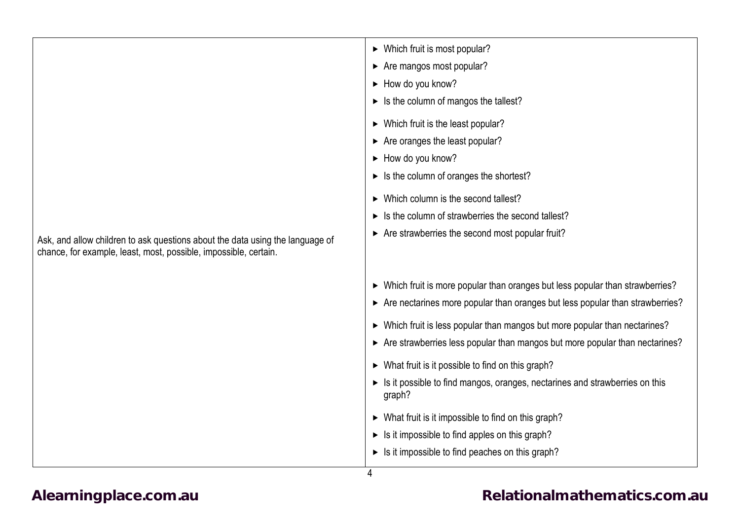|                                                                               | $\triangleright$ Which fruit is most popular?                                         |
|-------------------------------------------------------------------------------|---------------------------------------------------------------------------------------|
|                                                                               | Are mangos most popular?                                                              |
|                                                                               | $\triangleright$ How do you know?                                                     |
|                                                                               | $\triangleright$ Is the column of mangos the tallest?                                 |
|                                                                               | $\triangleright$ Which fruit is the least popular?                                    |
|                                                                               | $\triangleright$ Are oranges the least popular?                                       |
|                                                                               | $\triangleright$ How do you know?                                                     |
|                                                                               | $\triangleright$ Is the column of oranges the shortest?                               |
|                                                                               |                                                                                       |
|                                                                               | ► Which column is the second tallest?                                                 |
|                                                                               | $\triangleright$ Is the column of strawberries the second tallest?                    |
| Ask, and allow children to ask questions about the data using the language of | $\triangleright$ Are strawberries the second most popular fruit?                      |
| chance, for example, least, most, possible, impossible, certain.              |                                                                                       |
|                                                                               |                                                                                       |
|                                                                               | > Which fruit is more popular than oranges but less popular than strawberries?        |
|                                                                               | Are nectarines more popular than oranges but less popular than strawberries?          |
|                                                                               | > Which fruit is less popular than mangos but more popular than nectarines?           |
|                                                                               | Are strawberries less popular than mangos but more popular than nectarines?           |
|                                                                               |                                                                                       |
|                                                                               | $\triangleright$ What fruit is it possible to find on this graph?                     |
|                                                                               | In it possible to find mangos, oranges, nectarines and strawberries on this<br>graph? |
|                                                                               | $\triangleright$ What fruit is it impossible to find on this graph?                   |
|                                                                               | $\triangleright$ Is it impossible to find apples on this graph?                       |
|                                                                               | $\triangleright$ Is it impossible to find peaches on this graph?                      |
|                                                                               |                                                                                       |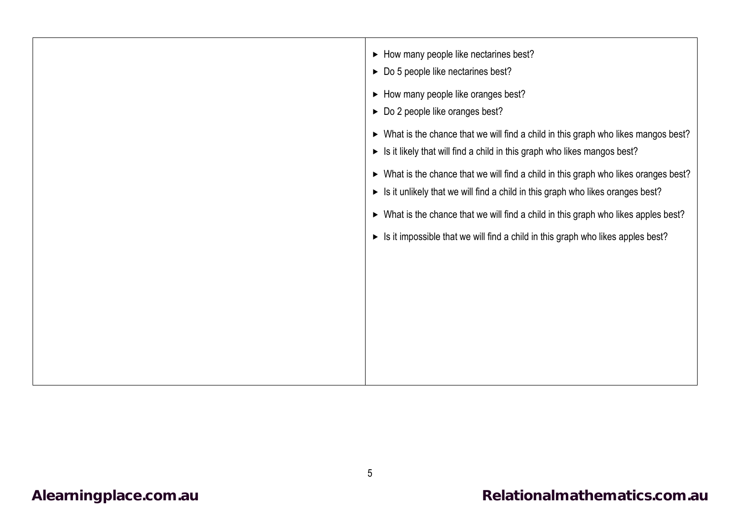| • How many people like nectarines best?<br>► Do 5 people like nectarines best?<br>• How many people like oranges best?<br>▶ Do 2 people like oranges best?<br>► What is the chance that we will find a child in this graph who likes mangos best?<br>In Italian Is it likely that will find a child in this graph who likes mangos best?<br>> What is the chance that we will find a child in this graph who likes oranges best?<br>In it unlikely that we will find a child in this graph who likes oranges best?<br>> What is the chance that we will find a child in this graph who likes apples best?<br>$\triangleright$ Is it impossible that we will find a child in this graph who likes apples best? |
|---------------------------------------------------------------------------------------------------------------------------------------------------------------------------------------------------------------------------------------------------------------------------------------------------------------------------------------------------------------------------------------------------------------------------------------------------------------------------------------------------------------------------------------------------------------------------------------------------------------------------------------------------------------------------------------------------------------|
|                                                                                                                                                                                                                                                                                                                                                                                                                                                                                                                                                                                                                                                                                                               |